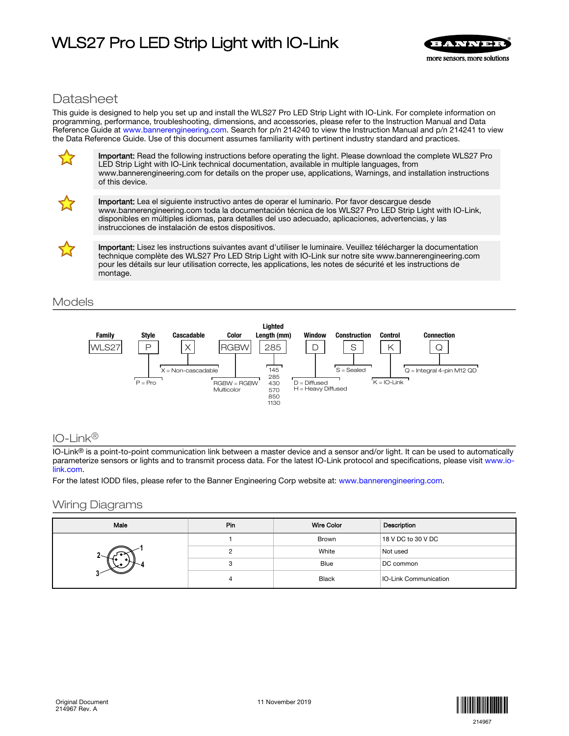# WLS27 Pro LED Strip Light with IO-Link



## **Datasheet**

This guide is designed to help you set up and install the WLS27 Pro LED Strip Light with IO-Link. For complete information on programming, performance, troubleshooting, dimensions, and accessories, please refer to the Instruction Manual and Data Reference Guide at [www.bannerengineering.com.](https://www.bannerengineering.com/us/en.html) Search for p/n 214240 to view the Instruction Manual and p/n 214241 to view the Data Reference Guide. Use of this document assumes familiarity with pertinent industry standard and practices.



Important: Read the following instructions before operating the light. Please download the complete WLS27 Pro LED Strip Light with IO-Link technical documentation, available in multiple languages, from www.bannerengineering.com for details on the proper use, applications, Warnings, and installation instructions of this device.



Important: Lea el siguiente instructivo antes de operar el luminario. Por favor descargue desde www.bannerengineering.com toda la documentación técnica de los WLS27 Pro LED Strip Light with IO-Link, disponibles en múltiples idiomas, para detalles del uso adecuado, aplicaciones, advertencias, y las instrucciones de instalación de estos dispositivos.



Important: Lisez les instructions suivantes avant d'utiliser le luminaire. Veuillez télécharger la documentation technique complète des WLS27 Pro LED Strip Light with IO-Link sur notre site www.bannerengineering.com pour les détails sur leur utilisation correcte, les applications, les notes de sécurité et les instructions de montage.

## Models



## IO-Link®

 $IO$ -Link<sup>®</sup> is a point-to-point communication link between a master device and a sensor and/or light. It can be used to automatically parameterize sensors or lights and to transmit process data. For the latest IO-Link protocol and specifications, please visit [www.io](http://www.io-link.com)[link.com.](http://www.io-link.com)

For the latest IODD files, please refer to the Banner Engineering Corp website at: [www.bannerengineering.com](http://www. bannerengineering.com).

## Wiring Diagrams

| Male | Pin | <b>Wire Color</b> | Description                  |
|------|-----|-------------------|------------------------------|
|      |     | Brown             | 18 V DC to 30 V DC           |
|      |     | White             | Not used                     |
|      |     | Blue              | DC common                    |
|      | 4   | <b>Black</b>      | <b>IO-Link Communication</b> |

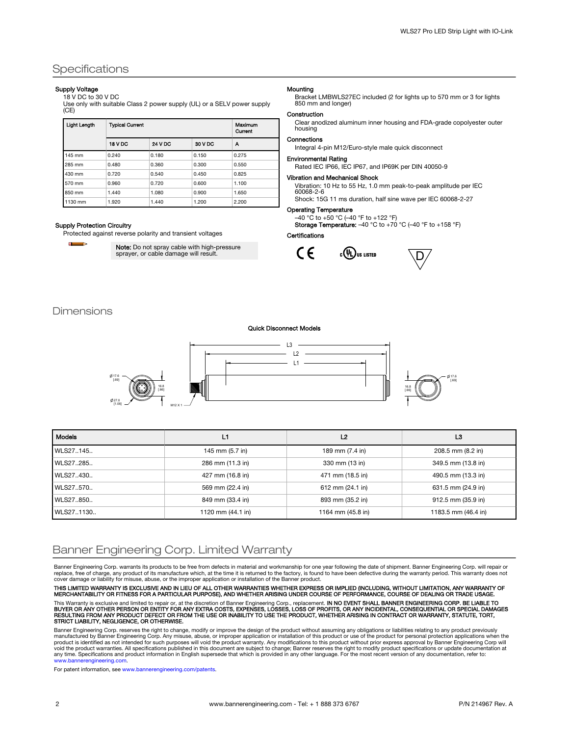## **Specifications**

### Supply Voltage

### 18 V DC to 30 V DC

Use only with suitable Class 2 power supply (UL) or a SELV power supply (CE)

| <b>Light Length</b> | <b>Typical Current</b> | Maximum<br>Current |         |       |
|---------------------|------------------------|--------------------|---------|-------|
|                     | 18 V DC                | <b>24 V DC</b>     | 30 V DC | А     |
| 145 mm              | 0.240                  | 0.180              | 0.150   | 0.275 |
| 285 mm              | 0.480                  | 0.360              | 0.300   | 0.550 |
| 430 mm              | 0.720                  | 0.540              | 0.450   | 0.825 |
| 570 mm              | 0.960                  | 0.720              | 0.600   | 1.100 |
| 850 mm              | 1.440                  | 1.080              | 0.900   | 1.650 |
| 1130 mm             | 1.920                  | 1.440              | 1.200   | 2.200 |

#### Supply Protection Circuitry

Protected against reverse polarity and transient voltages

Œ

**Note:** Do not spray cable with high-pressure<br>sprayer, or cable damage will result.

#### Mounting

Bracket LMBWLS27EC included (2 for lights up to 570 mm or 3 for lights 850 mm and longer)

#### Construction

Clear anodized aluminum inner housing and FDA-grade copolyester outer housing

#### Connections

Integral 4-pin M12/Euro-style male quick disconnect

#### Environmental Rating

Rated IEC IP66, IEC IP67, and IP69K per DIN 40050-9

Vibration and Mechanical Shock Vibration: 10 Hz to 55 Hz, 1.0 mm peak-to-peak amplitude per IEC

60068-2-6 Shock: 15G 11 ms duration, half sine wave per IEC 60068-2-27

### Operating Temperature

–40 °C to +50 °C (–40 °F to +122 °F) Storage Temperature: -40 °C to +70 °C (-40 °F to +158 °F)

#### Certifications



 $D/$ 

### **Dimensions**

#### Quick Disconnect Models



| <b>Models</b> | 11                          | L <sub>2</sub>      | L3                  |
|---------------|-----------------------------|---------------------|---------------------|
| WLS27145      | 145 mm (5.7 in)             | 189 mm (7.4 in)     | 208.5 mm (8.2 in)   |
| WLS27285      | 286 mm (11.3 in)            | 330 mm (13 in)      | 349.5 mm (13.8 in)  |
| WLS27430      | 427 mm (16.8 in)            | 471 mm (18.5 in)    | 490.5 mm (13.3 in)  |
| WLS27570      | 569 mm (22.4 in)            | 612 mm (24.1 in)    | 631.5 mm (24.9 in)  |
| WLS27.850     | 849 mm (33.4 in)            | 893 mm (35.2 in)    | 912.5 mm (35.9 in)  |
| WLS271130     | 1120 mm $(44.1 \text{ in})$ | 1164 mm $(45.8)$ in | 1183.5 mm (46.4 in) |

## Banner Engineering Corp. Limited Warranty

Banner Engineering Corp. warrants its products to be free from defects in material and workmanship for one year following the date of shipment. Banner Engineering Corp. will repair or replace, free of charge, any product of its manufacture which, at the time it is returned to the factory, is found to have been defective during the warranty period. This warranty does not cover damage or liability for misuse, abuse, or the improper application or installation of the Banner product.

THIS LIMITED WARRANTY IS EXCLUSIVE AND IN LIEU OF ALL OTHER WARRANTIES WHETHER EXPRESS OR IMPLIED (INCLUDING, WITHOUT LIMITATION, ANY WARRANTY OF<br>MERCHANTABILITY OR FITNESS FOR A PARTICULAR PURPOSE), AND WHETHER ARISING UN This Warranty is exclusive and limited to repair or, at the discretion of Banner Engineering Corp., replacement. IN NO EVENT SHALL BANNER ENGINEERING CORP. BE LIABLE TO<br>BUYER OR ANY OTHER PERSON OR ENTITY FOR ANY EXTRA COS

Banner Engineering Corp. reserves the right to change, modify or improve the design of the product without assuming any obligations or liabilities relating to any product previously manufactured by Banner Engineering Corp. Any misuse, abuse, or improper application or installation of this product or use of the product for personal protection applications when the<br>product is identified as not intended any time. Specifications and product information in English supersede that which is provided in any other language. For the most recent version of any documentation, refer to: [www.bannerengineering.com](http://www.bannerengineering.com).

For patent information, see [www.bannerengineering.com/patents.](http://www.bannerengineering.com/patents)